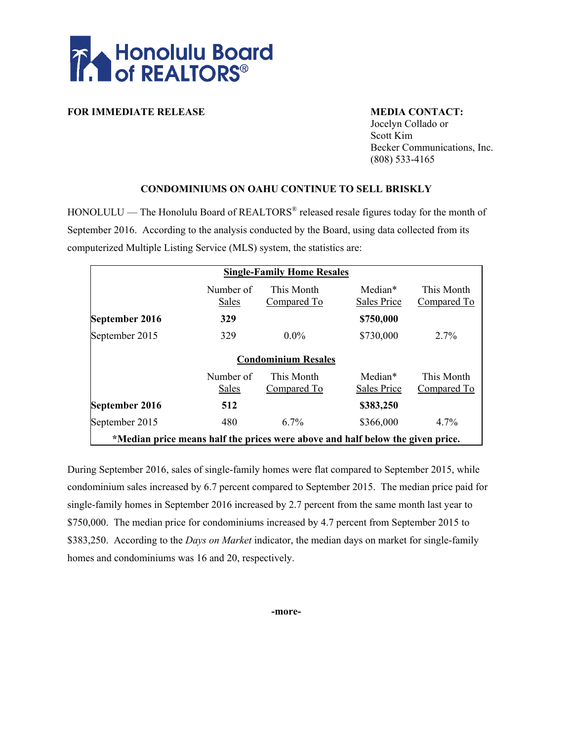

**FOR IMMEDIATE RELEASE MEDIA CONTACT:** 

Jocelyn Collado or Scott Kim Becker Communications, Inc. (808) 533-4165

### **CONDOMINIUMS ON OAHU CONTINUE TO SELL BRISKLY**

 $HONOLULU$  — The Honolulu Board of REALTORS<sup>®</sup> released resale figures today for the month of September 2016. According to the analysis conducted by the Board, using data collected from its computerized Multiple Listing Service (MLS) system, the statistics are:

| <b>Single-Family Home Resales</b>                                              |                    |                           |                        |                           |  |  |  |  |  |  |  |  |  |
|--------------------------------------------------------------------------------|--------------------|---------------------------|------------------------|---------------------------|--|--|--|--|--|--|--|--|--|
|                                                                                | Number of<br>Sales | This Month<br>Compared To | Median*<br>Sales Price | This Month<br>Compared To |  |  |  |  |  |  |  |  |  |
| September 2016                                                                 | 329                |                           | \$750,000              |                           |  |  |  |  |  |  |  |  |  |
| September 2015                                                                 | 329                | $0.0\%$                   | \$730,000              | $2.7\%$                   |  |  |  |  |  |  |  |  |  |
| <b>Condominium Resales</b>                                                     |                    |                           |                        |                           |  |  |  |  |  |  |  |  |  |
|                                                                                | Number of<br>Sales | This Month<br>Compared To | Median*<br>Sales Price | This Month<br>Compared To |  |  |  |  |  |  |  |  |  |
| September 2016                                                                 | 512                |                           | \$383,250              |                           |  |  |  |  |  |  |  |  |  |
| September 2015                                                                 | 480                | $6.7\%$                   | \$366,000              | 4.7%                      |  |  |  |  |  |  |  |  |  |
| *Median price means half the prices were above and half below the given price. |                    |                           |                        |                           |  |  |  |  |  |  |  |  |  |

During September 2016, sales of single-family homes were flat compared to September 2015, while condominium sales increased by 6.7 percent compared to September 2015. The median price paid for single-family homes in September 2016 increased by 2.7 percent from the same month last year to \$750,000. The median price for condominiums increased by 4.7 percent from September 2015 to \$383,250. According to the *Days on Market* indicator, the median days on market for single-family homes and condominiums was 16 and 20, respectively.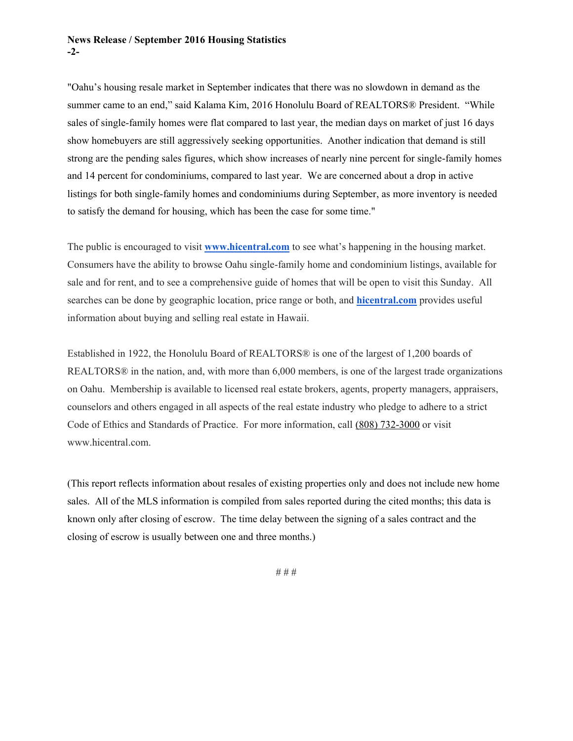#### **News Release / September 2016 Housing Statistics -2-**

"Oahu's housing resale market in September indicates that there was no slowdown in demand as the summer came to an end," said Kalama Kim, 2016 Honolulu Board of REALTORS® President. "While sales of single-family homes were flat compared to last year, the median days on market of just 16 days show homebuyers are still aggressively seeking opportunities. Another indication that demand is still strong are the pending sales figures, which show increases of nearly nine percent for single-family homes and 14 percent for condominiums, compared to last year. We are concerned about a drop in active listings for both single-family homes and condominiums during September, as more inventory is needed to satisfy the demand for housing, which has been the case for some time."

The public is encouraged to visit **[www.hicentral.com](http://www.hicentral.com/)** to see what's happening in the housing market. Consumers have the ability to browse Oahu single-family home and condominium listings, available for sale and for rent, and to see a comprehensive guide of homes that will be open to visit this Sunday. All searches can be done by geographic location, price range or both, and **[hicentral.com](http://hicentral.com/)** provides useful information about buying and selling real estate in Hawaii.

Established in 1922, the Honolulu Board of REALTORS® is one of the largest of 1,200 boards of REALTORS® in the nation, and, with more than 6,000 members, is one of the largest trade organizations on Oahu. Membership is available to licensed real estate brokers, agents, property managers, appraisers, counselors and others engaged in all aspects of the real estate industry who pledge to adhere to a strict Code of Ethics and Standards of Practice. For more information, call (808) 732-3000 or visit www.hicentral.com.

(This report reflects information about resales of existing properties only and does not include new home sales. All of the MLS information is compiled from sales reported during the cited months; this data is known only after closing of escrow. The time delay between the signing of a sales contract and the closing of escrow is usually between one and three months.)

# # #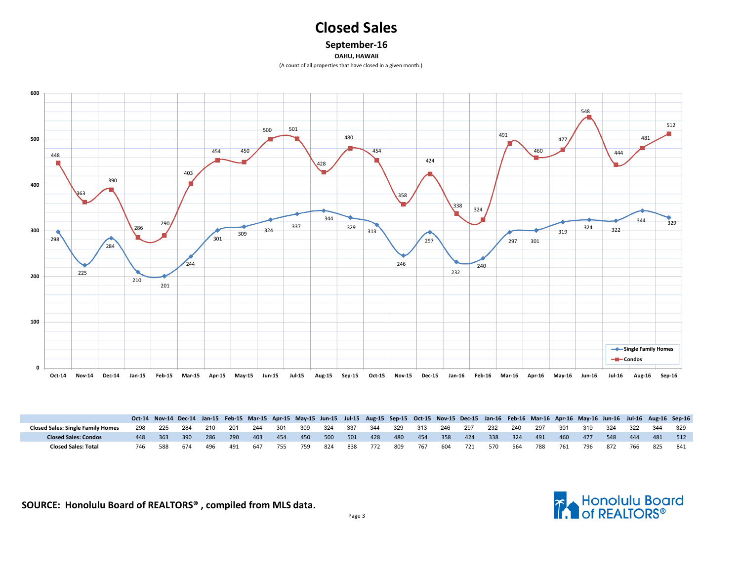# **Closed Sales**

**September-16**

**OAHU, HAWAII**

(A count of all properties that have closed in a given month.)



|                                          |      |     |     |     |     |     |     |     |     |      |     |     |     |     |     |     |     |     | Oct-14 Nov-14 Dec-14 Jan-15 Feb-15 Mar-15 Apr-15 May-15 Jun-15 Jul-15 Aug-15 Sep-15 Oct-15 Nov-15 Dec-15 Jan-16 Feb-16 Mar-16 Apr-16 May-16 Jun-16 Jul-16 Aug-16 Sep-16 |     |     |     |     |
|------------------------------------------|------|-----|-----|-----|-----|-----|-----|-----|-----|------|-----|-----|-----|-----|-----|-----|-----|-----|-------------------------------------------------------------------------------------------------------------------------------------------------------------------------|-----|-----|-----|-----|
| <b>Closed Sales: Single Family Homes</b> | -225 | 284 | 210 | 201 | 244 | 301 | 309 | 324 | 337 | -344 | 329 | 313 | 246 | 297 | 232 | 240 | 297 | 301 | 319                                                                                                                                                                     | 324 | 322 | 344 | 329 |
| <b>Closed Sales: Condos</b>              | 363  | 390 | 286 | 290 | 403 | 454 | 450 | 500 | 501 | 428  | 480 | 454 | 358 | 424 | 338 | 324 | 491 | 460 | 477                                                                                                                                                                     | 548 | 444 | 481 | 512 |
| <b>Closed Sales: Total</b>               | 588  | 674 | 496 | 491 | 647 | 755 | 759 | 824 | 838 | 772  | 809 | 767 | 604 | 721 | 570 | 564 | 788 | 761 | 796                                                                                                                                                                     | 872 | 766 | 825 | 841 |

**SOURCE: Honolulu Board of REALTORS® , compiled from MLS data.**

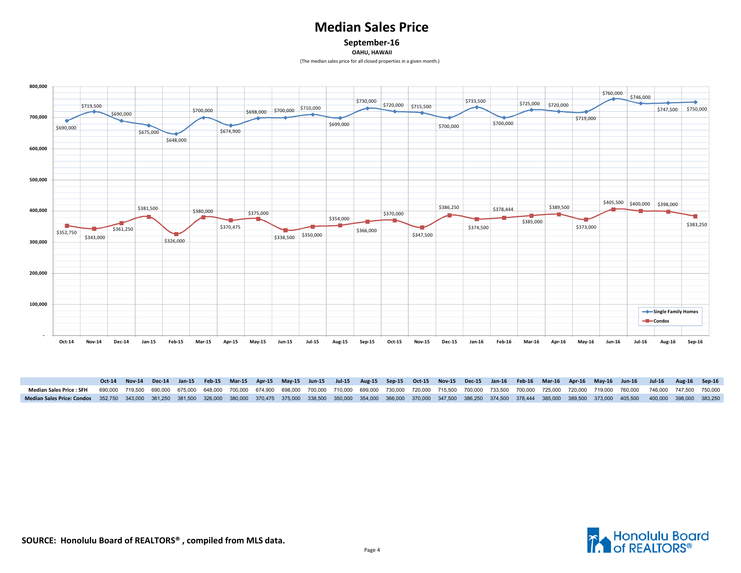## **Median Sales Price**

**September-16**

**OAHU, HAWAII**

(The medIan sales price for all closed properties in a given month.)



|                                                                                                                                                                                                                            |  |  |  |  |  |  |  |  |  |  | Oct-14 Nov-14 Dec-14 Jan-15 Feb-15 Mar-15 Apr-15 May-15 Jun-15 Jul-15 Aug-15 Sep-15 Oct-15 Nov-15 Dec-15 Jan-16 Feb-16 Mar-16 Apr-16 May-16 Jul-16 Jul-16 Aug-16 Sep-16 |  |
|----------------------------------------------------------------------------------------------------------------------------------------------------------------------------------------------------------------------------|--|--|--|--|--|--|--|--|--|--|-------------------------------------------------------------------------------------------------------------------------------------------------------------------------|--|
| Median Sales Price : SFH 690,000 719,500 690,000 675,000 648,000 700,000 674,900 698,000 700,000 710,000 699,000 730,000 720,000 715,500 700,000 733,500 700,000 725,000 729,000 719,000 760,000 746,000 747,500 750,000   |  |  |  |  |  |  |  |  |  |  |                                                                                                                                                                         |  |
| Median Sales Price: Condos 352,750 343,000 361,250 381,500 326,000 380,000 370,475 375,000 338,500 350,000 354,000 366,000 370,000 347,500 386,250 378,500 378,444 385,000 385,500 373,000 405,500 400,000 398,000 383,250 |  |  |  |  |  |  |  |  |  |  |                                                                                                                                                                         |  |